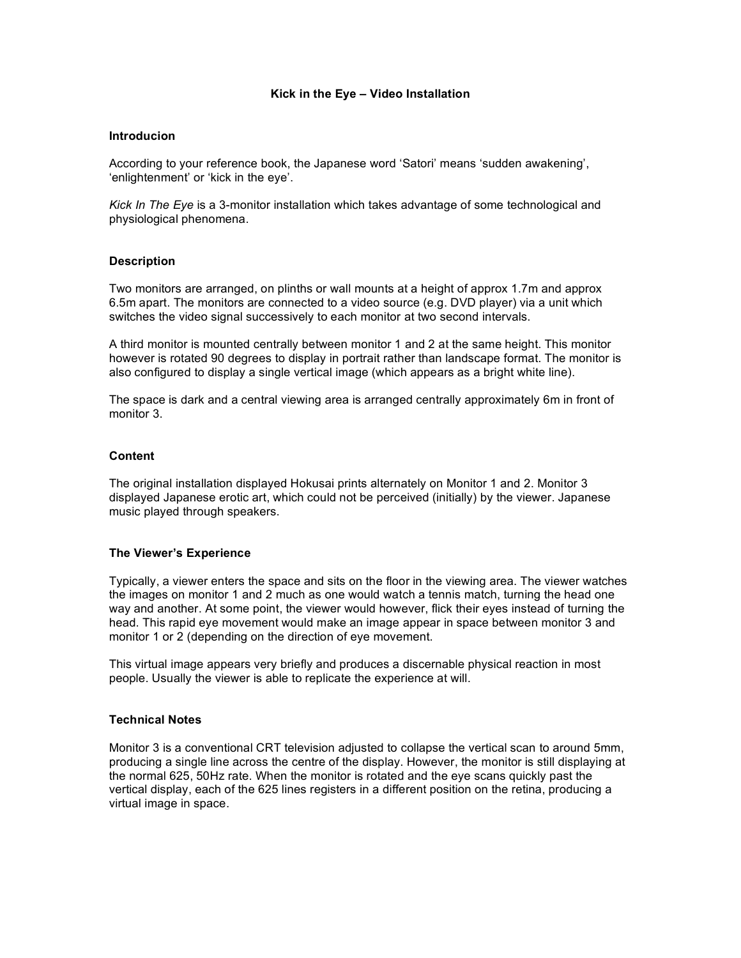## **Kick in the Eye – Video Installation**

#### **Introducion**

According to your reference book, the Japanese word 'Satori' means 'sudden awakening', 'enlightenment' or 'kick in the eye'.

*Kick In The Eye* is a 3-monitor installation which takes advantage of some technological and physiological phenomena.

#### **Description**

Two monitors are arranged, on plinths or wall mounts at a height of approx 1.7m and approx 6.5m apart. The monitors are connected to a video source (e.g. DVD player) via a unit which switches the video signal successively to each monitor at two second intervals.

A third monitor is mounted centrally between monitor 1 and 2 at the same height. This monitor however is rotated 90 degrees to display in portrait rather than landscape format. The monitor is also configured to display a single vertical image (which appears as a bright white line).

The space is dark and a central viewing area is arranged centrally approximately 6m in front of monitor 3.

#### **Content**

The original installation displayed Hokusai prints alternately on Monitor 1 and 2. Monitor 3 displayed Japanese erotic art, which could not be perceived (initially) by the viewer. Japanese music played through speakers.

## **The Viewer's Experience**

Typically, a viewer enters the space and sits on the floor in the viewing area. The viewer watches the images on monitor 1 and 2 much as one would watch a tennis match, turning the head one way and another. At some point, the viewer would however, flick their eyes instead of turning the head. This rapid eye movement would make an image appear in space between monitor 3 and monitor 1 or 2 (depending on the direction of eye movement.

This virtual image appears very briefly and produces a discernable physical reaction in most people. Usually the viewer is able to replicate the experience at will.

### **Technical Notes**

Monitor 3 is a conventional CRT television adjusted to collapse the vertical scan to around 5mm, producing a single line across the centre of the display. However, the monitor is still displaying at the normal 625, 50Hz rate. When the monitor is rotated and the eye scans quickly past the vertical display, each of the 625 lines registers in a different position on the retina, producing a virtual image in space.